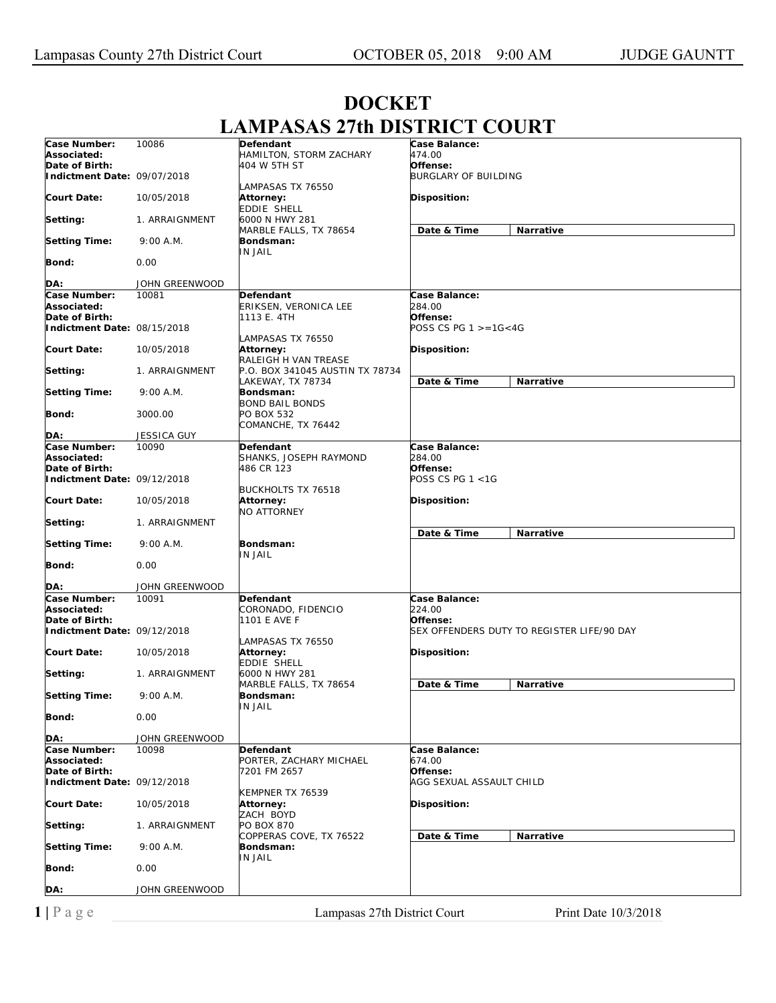| Case Number:                                  | 10086          | Defendant                                | Case Balance:                                          |
|-----------------------------------------------|----------------|------------------------------------------|--------------------------------------------------------|
| Associated:                                   |                | HAMILTON, STORM ZACHARY                  | 474.00                                                 |
| Date of Birth:                                |                | 404 W 5TH ST                             | Offense:                                               |
| Indictment Date: 09/07/2018                   |                |                                          | <b>BURGLARY OF BUILDING</b>                            |
| Court Date:                                   | 10/05/2018     | LAMPASAS TX 76550<br>Attorney:           | Disposition:                                           |
|                                               |                | EDDIE SHELL                              |                                                        |
| Setting:                                      | 1. ARRAIGNMENT | 6000 N HWY 281<br>MARBLE FALLS, TX 78654 | Date & Time<br>Narrative                               |
| <b>Setting Time:</b>                          | 9:00 A.M.      | Bondsman:<br>IN JAIL                     |                                                        |
| <b>Bond:</b>                                  | 0.00           |                                          |                                                        |
| DA:                                           | JOHN GREENWOOD |                                          |                                                        |
| Case Number:                                  | 10081          | Defendant                                | Case Balance:                                          |
| Associated:                                   |                | ERIKSEN, VERONICA LEE                    | 284.00                                                 |
| Date of Birth:<br>Indictment Date: 08/15/2018 |                | 1113 E. 4TH                              | Offense:<br>POSS CS PG $1 > = 16 < 4G$                 |
|                                               |                | LAMPASAS TX 76550                        |                                                        |
| <b>Court Date:</b>                            | 10/05/2018     | Attorney:                                | Disposition:                                           |
|                                               |                | RALEIGH H VAN TREASE                     |                                                        |
| Setting:                                      | 1. ARRAIGNMENT | P.O. BOX 341045 AUSTIN TX 78734          |                                                        |
|                                               | 9:00 A.M.      | LAKEWAY, TX 78734                        | Date & Time<br>Narrative                               |
| <b>Setting Time:</b>                          |                | Bondsman:<br><b>BOND BAIL BONDS</b>      |                                                        |
| Bond:                                         | 3000.00        | PO BOX 532                               |                                                        |
|                                               |                | COMANCHE, TX 76442                       |                                                        |
| DA:                                           | JESSICA GUY    |                                          |                                                        |
| Case Number:                                  | 10090          | Defendant                                | Case Balance:                                          |
| Associated:<br>Date of Birth:                 |                | SHANKS, JOSEPH RAYMOND<br>486 CR 123     | 284.00<br>Offense:                                     |
| Indictment Date: 09/12/2018                   |                |                                          | POSS CS PG 1 <1G                                       |
|                                               |                | <b>BUCKHOLTS TX 76518</b>                |                                                        |
| <b>Court Date:</b>                            | 10/05/2018     | Attorney:<br>NO ATTORNEY                 | Disposition:                                           |
| Setting:                                      | 1. ARRAIGNMENT |                                          | Date & Time                                            |
| <b>Setting Time:</b>                          | 9:00 A.M.      | Bondsman:                                | Narrative                                              |
|                                               |                | IN JAIL                                  |                                                        |
| <b>Bond:</b>                                  | 0.00           |                                          |                                                        |
| DA:                                           | JOHN GREENWOOD |                                          |                                                        |
| Case Number:                                  | 10091          | Defendant                                | Case Balance:                                          |
| Associated:                                   |                | CORONADO, FIDENCIO                       | 224.00                                                 |
| Date of Birth:<br>Indictment Date: 09/12/2018 |                | 1101 E AVE F                             | Offense:<br>SEX OFFENDERS DUTY TO REGISTER LIFE/90 DAY |
|                                               |                | LAMPASAS TX 76550                        |                                                        |
| <b>Court Date:</b>                            | 10/05/2018     | Attorney:                                | Disposition:                                           |
| Setting:                                      | 1. ARRAIGNMENT | EDDIE SHELL<br>6000 N HWY 281            |                                                        |
|                                               |                | MARBLE FALLS, TX 78654                   | Date & Time<br>Narrative                               |
| <b>Setting Time:</b>                          | 9:00 A.M.      | Bondsman:<br>IN JAIL                     |                                                        |
| <b>Bond:</b>                                  | 0.00           |                                          |                                                        |
| DA:                                           | JOHN GREENWOOD |                                          |                                                        |
| Case Number:                                  | 10098          | Defendant                                | Case Balance:                                          |
| Associated:                                   |                | PORTER, ZACHARY MICHAEL                  | 674.00                                                 |
| Date of Birth:                                |                | 7201 FM 2657                             | Offense:                                               |
| Indictment Date: 09/12/2018                   |                |                                          | AGG SEXUAL ASSAULT CHILD                               |
| <b>Court Date:</b>                            | 10/05/2018     | KEMPNER TX 76539<br>Attorney:            | Disposition:                                           |
| Setting:                                      | 1. ARRAIGNMENT | ZACH BOYD<br><b>PO BOX 870</b>           |                                                        |
| <b>Setting Time:</b>                          | 9:00 A.M.      | COPPERAS COVE, TX 76522<br>Bondsman:     | Date & Time<br>Narrative                               |
| Bond:                                         | 0.00           | IN JAIL                                  |                                                        |
| DA:                                           | JOHN GREENWOOD |                                          |                                                        |
|                                               |                |                                          |                                                        |

## **DOCKET LAMPASAS 27th DISTRICT COURT**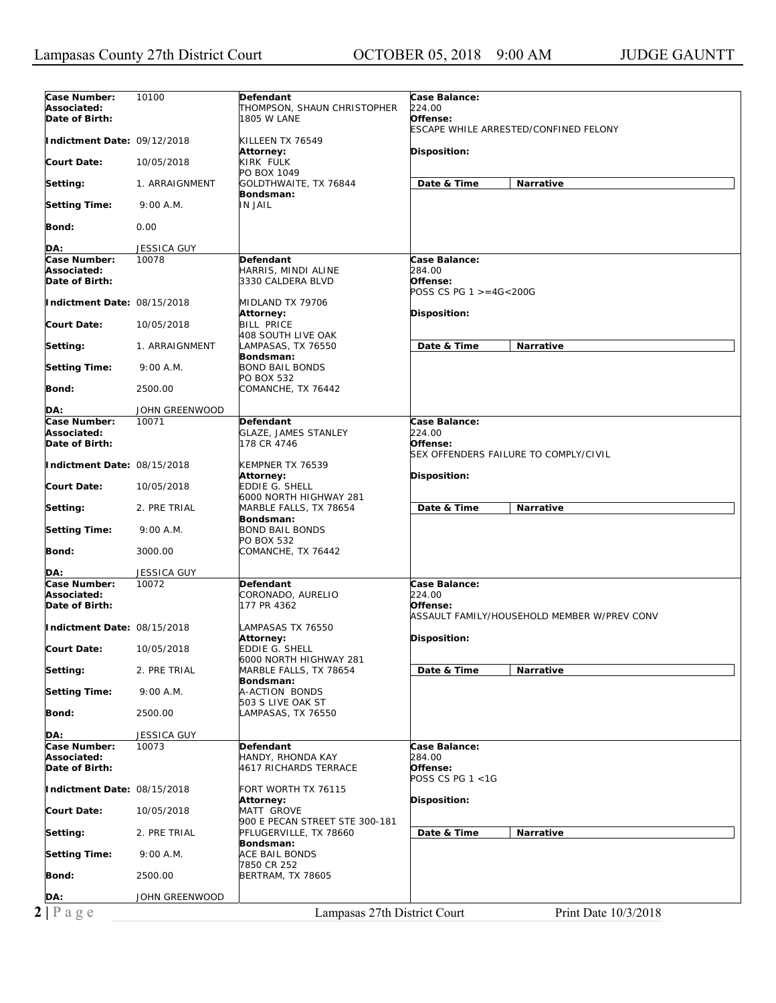| Case Number:<br>Associated:<br>Date of Birth: | 10100              | Defendant<br>THOMPSON, SHAUN CHRISTOPHER<br><b>1805 W LANE</b> | Case Balance:<br>224.00<br>Offense:                                                |
|-----------------------------------------------|--------------------|----------------------------------------------------------------|------------------------------------------------------------------------------------|
| Indictment Date: 09/12/2018                   |                    | KILLEEN TX 76549                                               | ESCAPE WHILE ARRESTED/CONFINED FELONY                                              |
| <b>Court Date:</b>                            | 10/05/2018         | Attorney:<br>KIRK FULK                                         | Disposition:                                                                       |
| Setting:                                      | 1. ARRAIGNMENT     | PO BOX 1049<br>GOLDTHWAITE, TX 76844                           | Date & Time<br>Narrative                                                           |
| <b>Setting Time:</b>                          | 9:00 A.M.          | Bondsman:<br>IN JAIL                                           |                                                                                    |
| Bond:                                         | 0.00               |                                                                |                                                                                    |
| DA:                                           | JESSICA GUY        |                                                                |                                                                                    |
| Case Number:                                  | 10078              | Defendant                                                      | Case Balance:                                                                      |
| Associated:<br>Date of Birth:                 |                    | HARRIS, MINDI ALINE<br>3330 CALDERA BLVD                       | 284.00<br>Offense:<br>POSS CS PG 1 >=4G<200G                                       |
| Indictment Date: 08/15/2018                   |                    | MIDLAND TX 79706<br>Attorney:                                  | <b>Disposition:</b>                                                                |
| <b>Court Date:</b>                            | 10/05/2018         | <b>BILL PRICE</b><br>408 SOUTH LIVE OAK                        |                                                                                    |
| Setting:                                      | 1. ARRAIGNMENT     | LAMPASAS, TX 76550<br>Bondsman:                                | Date & Time<br><b>Narrative</b>                                                    |
| <b>Setting Time:</b>                          | 9:00 A.M.          | <b>BOND BAIL BONDS</b><br>PO BOX 532                           |                                                                                    |
| Bond:                                         | 2500.00            | COMANCHE, TX 76442                                             |                                                                                    |
| DA:                                           | JOHN GREENWOOD     |                                                                |                                                                                    |
| Case Number:<br>Associated:<br>Date of Birth: | 10071              | Defendant<br><b>GLAZE, JAMES STANLEY</b><br>178 CR 4746        | Case Balance:<br>224.00<br>Offense:                                                |
| Indictment Date: 08/15/2018                   |                    | KEMPNER TX 76539<br>Attorney:                                  | SEX OFFENDERS FAILURE TO COMPLY/CIVIL<br>Disposition:                              |
| Court Date:                                   | 10/05/2018         | EDDIE G. SHELL<br>6000 NORTH HIGHWAY 281                       |                                                                                    |
| Setting:                                      | 2. PRE TRIAL       | MARBLE FALLS, TX 78654<br>Bondsman:                            | Date & Time<br>Narrative                                                           |
| <b>Setting Time:</b>                          | 9:00 A.M.          | <b>BOND BAIL BONDS</b><br>PO BOX 532                           |                                                                                    |
| Bond:                                         | 3000.00            | COMANCHE, TX 76442                                             |                                                                                    |
| DA:                                           | <b>JESSICA GUY</b> |                                                                |                                                                                    |
| Case Number:<br>Associated:<br>Date of Birth: | 10072              | <b>Defendant</b><br>CORONADO, AURELIO<br>177 PR 4362           | Case Balance:<br>224.00<br>Offense:<br>ASSAULT FAMILY/HOUSEHOLD MEMBER W/PREV CONV |
| Indictment Date: 08/15/2018                   |                    | LAMPASAS TX 76550<br>Attorney:                                 | Disposition:                                                                       |
| <b>Court Date:</b>                            | 10/05/2018         | EDDIE G. SHELL<br>6000 NORTH HIGHWAY 281                       |                                                                                    |
| Setting:                                      | 2. PRE TRIAL       | MARBLE FALLS, TX 78654<br>Bondsman:                            | Date & Time<br>Narrative                                                           |
| Setting Time:                                 | 9:00 A.M.          | A-ACTION BONDS<br>503 S LIVE OAK ST                            |                                                                                    |
| <b>Bond:</b>                                  | 2500.00            | LAMPASAS, TX 76550                                             |                                                                                    |
| DA:                                           | <b>JESSICA GUY</b> |                                                                |                                                                                    |
| Case Number:<br>Associated:<br>Date of Birth: | 10073              | Defendant<br>HANDY, RHONDA KAY<br>4617 RICHARDS TERRACE        | Case Balance:<br>284.00<br>Offense:                                                |
| Indictment Date: 08/15/2018                   |                    | FORT WORTH TX 76115                                            | POSS CS PG 1 <1G                                                                   |
| Court Date:                                   | 10/05/2018         | Attorney:<br><b>MATT GROVE</b>                                 | Disposition:                                                                       |
| Setting:                                      | 2. PRE TRIAL       | 900 E PECAN STREET STE 300-181<br>PFLUGERVILLE, TX 78660       | Date & Time<br>Narrative                                                           |
| Setting Time:                                 | 9:00 A.M.          | Bondsman:<br>ACE BAIL BONDS                                    |                                                                                    |
| Bond:                                         | 2500.00            | 7850 CR 252<br>BERTRAM, TX 78605                               |                                                                                    |
| DA:                                           | JOHN GREENWOOD     |                                                                |                                                                                    |
| $2 P \text{ a } g e$                          |                    | Lampasas 27th District Court                                   | Print Date 10/3/2018                                                               |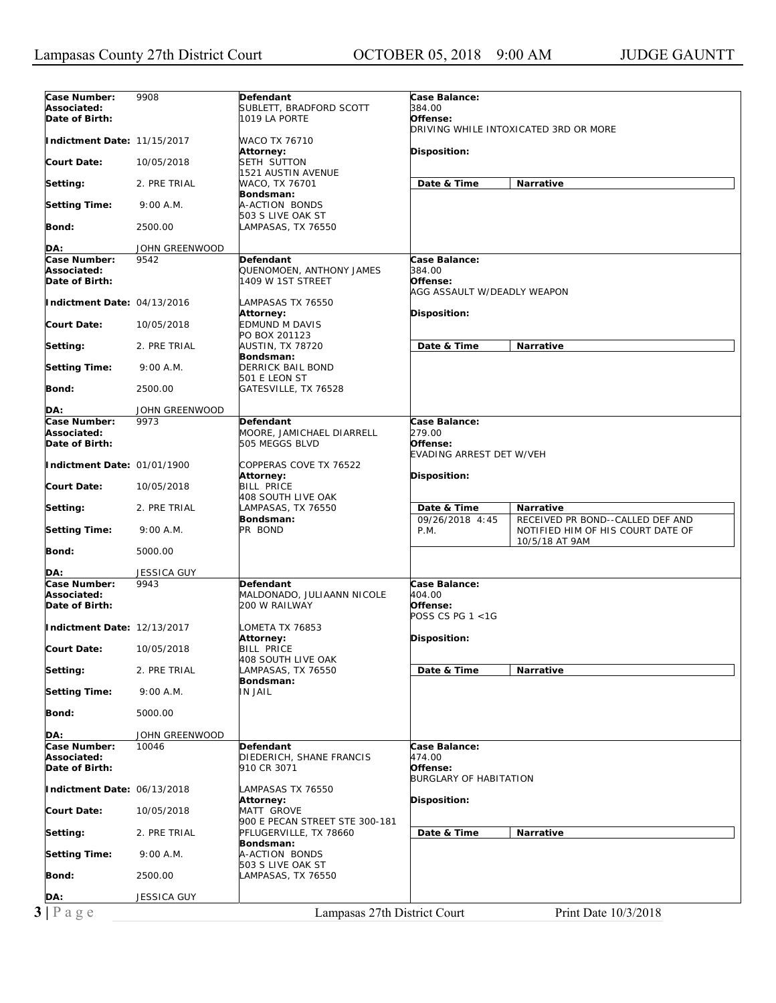| Case Number:                                                                                                                                                                                              |                    |                                 |                                 |                                       |
|-----------------------------------------------------------------------------------------------------------------------------------------------------------------------------------------------------------|--------------------|---------------------------------|---------------------------------|---------------------------------------|
|                                                                                                                                                                                                           | 9908               | Defendant                       | Case Balance:                   |                                       |
| Associated:                                                                                                                                                                                               |                    | SUBLETT, BRADFORD SCOTT         | <i>384.00</i>                   |                                       |
| Date of Birth:                                                                                                                                                                                            |                    | 1019 LA PORTE                   | Offense:                        |                                       |
|                                                                                                                                                                                                           |                    |                                 |                                 | DRIVING WHILE INTOXICATED 3RD OR MORE |
| Indictment Date: 11/15/2017                                                                                                                                                                               |                    | WACO TX 76710                   |                                 |                                       |
|                                                                                                                                                                                                           |                    | Attorney:                       | Disposition:                    |                                       |
| Court Date:                                                                                                                                                                                               | 10/05/2018         | SETH SUTTON                     |                                 |                                       |
|                                                                                                                                                                                                           |                    | 1521 AUSTIN AVENUE              |                                 |                                       |
| Setting:                                                                                                                                                                                                  | 2. PRE TRIAL       | WACO, TX 76701                  | Date & Time                     | Narrative                             |
|                                                                                                                                                                                                           |                    | Bondsman:                       |                                 |                                       |
| Setting Time:                                                                                                                                                                                             | 9:00 A.M.          | A-ACTION BONDS                  |                                 |                                       |
|                                                                                                                                                                                                           |                    | 503 S LIVE OAK ST               |                                 |                                       |
| Bond:                                                                                                                                                                                                     | 2500.00            | LAMPASAS, TX 76550              |                                 |                                       |
|                                                                                                                                                                                                           |                    |                                 |                                 |                                       |
| DA:                                                                                                                                                                                                       | JOHN GREENWOOD     |                                 |                                 |                                       |
| Case Number:                                                                                                                                                                                              | 9542               | <b>Defendant</b>                | Case Balance:                   |                                       |
| Associated:                                                                                                                                                                                               |                    | QUENOMOEN, ANTHONY JAMES        | 384.00                          |                                       |
| Date of Birth:                                                                                                                                                                                            |                    | 1409 W 1ST STREET               | Offense:                        |                                       |
|                                                                                                                                                                                                           |                    |                                 | AGG ASSAULT W/DEADLY WEAPON     |                                       |
| Indictment Date: 04/13/2016                                                                                                                                                                               |                    | LAMPASAS TX 76550               |                                 |                                       |
|                                                                                                                                                                                                           |                    | Attorney:                       | Disposition:                    |                                       |
| Court Date:                                                                                                                                                                                               | 10/05/2018         | EDMUND M DAVIS                  |                                 |                                       |
|                                                                                                                                                                                                           |                    | PO BOX 201123                   |                                 |                                       |
| Setting:                                                                                                                                                                                                  | 2. PRE TRIAL       | AUSTIN, TX 78720                | Date & Time                     | <b>Narrative</b>                      |
|                                                                                                                                                                                                           |                    | Bondsman:                       |                                 |                                       |
| <b>Setting Time:</b>                                                                                                                                                                                      | 9:00 A.M.          | DERRICK BAIL BOND               |                                 |                                       |
|                                                                                                                                                                                                           |                    | 501 E LEON ST                   |                                 |                                       |
| <b>Bond:</b>                                                                                                                                                                                              | 2500.00            | GATESVILLE, TX 76528            |                                 |                                       |
|                                                                                                                                                                                                           |                    |                                 |                                 |                                       |
| DA:                                                                                                                                                                                                       | JOHN GREENWOOD     |                                 |                                 |                                       |
| Case Number:                                                                                                                                                                                              | 9973               | Defendant                       | Case Balance:                   |                                       |
| Associated:                                                                                                                                                                                               |                    | MOORE, JAMICHAEL DIARRELL       | 279.00                          |                                       |
| Date of Birth:                                                                                                                                                                                            |                    | 505 MEGGS BLVD                  | Offense:                        |                                       |
|                                                                                                                                                                                                           |                    |                                 | <b>EVADING ARREST DET W/VEH</b> |                                       |
| Indictment Date: 01/01/1900                                                                                                                                                                               |                    | COPPERAS COVE TX 76522          |                                 |                                       |
|                                                                                                                                                                                                           |                    | Attorney:                       | Disposition:                    |                                       |
| Court Date:                                                                                                                                                                                               | 10/05/2018         | <b>BILL PRICE</b>               |                                 |                                       |
|                                                                                                                                                                                                           |                    | 408 SOUTH LIVE OAK              |                                 |                                       |
| Setting:                                                                                                                                                                                                  | 2. PRE TRIAL       | LAMPASAS, TX 76550              | Date & Time                     | Narrative                             |
|                                                                                                                                                                                                           |                    | Bondsman:                       | 09/26/2018 4:45                 | RECEIVED PR BOND--CALLED DEF AND      |
| <b>Setting Time:</b>                                                                                                                                                                                      | 9:00 A.M.          | PR BOND                         | P.M.                            | NOTIFIED HIM OF HIS COURT DATE OF     |
|                                                                                                                                                                                                           |                    |                                 |                                 | 10/5/18 AT 9AM                        |
| Bond:                                                                                                                                                                                                     | 5000.00            |                                 |                                 |                                       |
|                                                                                                                                                                                                           |                    |                                 |                                 |                                       |
| DA:                                                                                                                                                                                                       | JESSICA GUY        |                                 |                                 |                                       |
| Case Number:                                                                                                                                                                                              | 9943               | <b>Defendant</b>                | Case Balance:                   |                                       |
| Associated:                                                                                                                                                                                               |                    | MALDONADO, JULIAANN NICOLE      | 404.00                          |                                       |
| Date of Birth:                                                                                                                                                                                            |                    | 200 W RAILWAY                   | Offense:                        |                                       |
|                                                                                                                                                                                                           |                    |                                 | POSS CS PG 1 <1G                |                                       |
| Indictment Date: 12/13/2017                                                                                                                                                                               |                    |                                 |                                 |                                       |
|                                                                                                                                                                                                           |                    |                                 |                                 |                                       |
|                                                                                                                                                                                                           |                    | LOMETA TX 76853                 |                                 |                                       |
|                                                                                                                                                                                                           | 10/05/2018         | Attorney:<br><b>BILL PRICE</b>  | Disposition:                    |                                       |
|                                                                                                                                                                                                           |                    |                                 |                                 |                                       |
|                                                                                                                                                                                                           |                    | 408 SOUTH LIVE OAK              |                                 |                                       |
|                                                                                                                                                                                                           | 2. PRE TRIAL       | LAMPASAS, TX 76550<br>Bondsman: | Date & Time                     | Narrative                             |
|                                                                                                                                                                                                           | 9:00 A.M.          | IN JAIL                         |                                 |                                       |
|                                                                                                                                                                                                           |                    |                                 |                                 |                                       |
|                                                                                                                                                                                                           |                    |                                 |                                 |                                       |
|                                                                                                                                                                                                           | 5000.00            |                                 |                                 |                                       |
|                                                                                                                                                                                                           |                    |                                 |                                 |                                       |
|                                                                                                                                                                                                           | JOHN GREENWOOD     |                                 |                                 |                                       |
| Case Number:                                                                                                                                                                                              | 10046              | Defendant                       | Case Balance:                   |                                       |
|                                                                                                                                                                                                           |                    | DIEDERICH, SHANE FRANCIS        | 474.00                          |                                       |
|                                                                                                                                                                                                           |                    | 910 CR 3071                     | Offense:                        |                                       |
|                                                                                                                                                                                                           |                    |                                 | BURGLARY OF HABITATION          |                                       |
|                                                                                                                                                                                                           |                    | LAMPASAS TX 76550               |                                 |                                       |
|                                                                                                                                                                                                           |                    | Attorney:                       | Disposition:                    |                                       |
|                                                                                                                                                                                                           | 10/05/2018         | MATT GROVE                      |                                 |                                       |
|                                                                                                                                                                                                           |                    | 900 E PECAN STREET STE 300-181  |                                 |                                       |
|                                                                                                                                                                                                           | 2. PRE TRIAL       | PFLUGERVILLE, TX 78660          | Date & Time                     | Narrative                             |
|                                                                                                                                                                                                           |                    | Bondsman:                       |                                 |                                       |
|                                                                                                                                                                                                           | 9:00 A.M.          | A-ACTION BONDS                  |                                 |                                       |
|                                                                                                                                                                                                           |                    | 503 S LIVE OAK ST               |                                 |                                       |
|                                                                                                                                                                                                           | 2500.00            | LAMPASAS, TX 76550              |                                 |                                       |
| Court Date:<br>Setting:<br><b>Setting Time:</b><br><b>Bond:</b><br>DA:<br>Associated:<br>Date of Birth:<br>Indictment Date: 06/13/2018<br><b>Court Date:</b><br>Setting:<br><b>Setting Time:</b><br>Bond: |                    |                                 |                                 |                                       |
| DA:<br>$3 P \text{ age}$                                                                                                                                                                                  | <b>JESSICA GUY</b> | Lampasas 27th District Court    |                                 | Print Date 10/3/2018                  |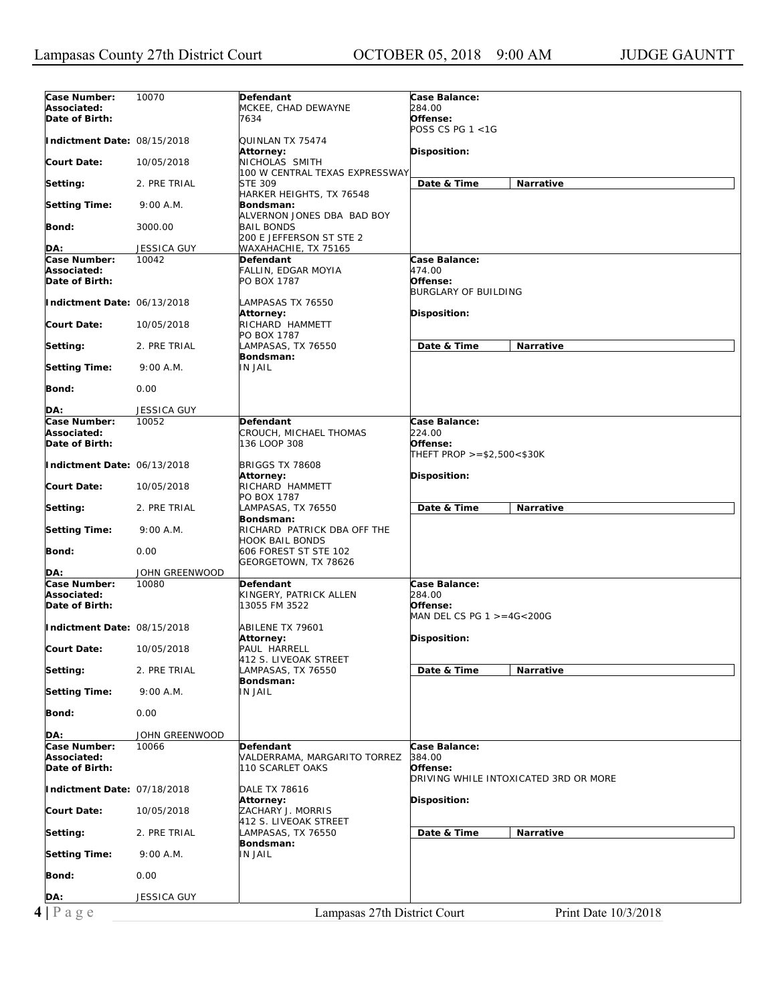| Case Number:                | 10070              | Defendant                      | <b>Case Balance:</b>                  |
|-----------------------------|--------------------|--------------------------------|---------------------------------------|
| Associated:                 |                    |                                | 284.00                                |
|                             |                    | MCKEE, CHAD DEWAYNE            |                                       |
| Date of Birth:              |                    | 7634                           | Offense:                              |
|                             |                    |                                | POSS CS PG $1 < 1G$                   |
| Indictment Date: 08/15/2018 |                    | QUINLAN TX 75474               |                                       |
|                             |                    |                                |                                       |
|                             |                    | Attorney:                      | Disposition:                          |
| <b>Court Date:</b>          | 10/05/2018         | NICHOLAS SMITH                 |                                       |
|                             |                    | 100 W CENTRAL TEXAS EXPRESSWAY |                                       |
|                             |                    |                                |                                       |
| Setting:                    | 2. PRE TRIAL       | <b>STE 309</b>                 | Date & Time<br>Narrative              |
|                             |                    | HARKER HEIGHTS, TX 76548       |                                       |
| <b>Setting Time:</b>        | 9:00 A.M.          | Bondsman:                      |                                       |
|                             |                    |                                |                                       |
|                             |                    | ALVERNON JONES DBA BAD BOY     |                                       |
| Bond:                       | 3000.00            | <b>BAIL BONDS</b>              |                                       |
|                             |                    | 200 E JEFFERSON ST STE 2       |                                       |
|                             |                    | WAXAHACHIE, TX 75165           |                                       |
| DA:                         | JESSICA GUY        |                                |                                       |
| Case Number:                | 10042              | Defendant                      | Case Balance:                         |
| Associated:                 |                    | FALLIN, EDGAR MOYIA            | 474.00                                |
| Date of Birth:              |                    | PO BOX 1787                    | Offense:                              |
|                             |                    |                                |                                       |
|                             |                    |                                | <b>BURGLARY OF BUILDING</b>           |
| Indictment Date: 06/13/2018 |                    | LAMPASAS TX 76550              |                                       |
|                             |                    | Attorney:                      | Disposition:                          |
|                             |                    |                                |                                       |
| <b>Court Date:</b>          | 10/05/2018         | RICHARD HAMMETT                |                                       |
|                             |                    | PO BOX 1787                    |                                       |
| Setting:                    | 2. PRE TRIAL       | LAMPASAS, TX 76550             | Date & Time<br>Narrative              |
|                             |                    |                                |                                       |
|                             |                    | Bondsman:                      |                                       |
| <b>Setting Time:</b>        | 9:00 A.M.          | <b>IN JAIL</b>                 |                                       |
|                             |                    |                                |                                       |
| Bond:                       |                    |                                |                                       |
|                             | 0.00               |                                |                                       |
|                             |                    |                                |                                       |
| DA:                         | <b>JESSICA GUY</b> |                                |                                       |
| Case Number:                | 10052              | Defendant                      | Case Balance:                         |
|                             |                    |                                |                                       |
| Associated:                 |                    | CROUCH, MICHAEL THOMAS         | 224.00                                |
| Date of Birth:              |                    | 136 LOOP 308                   | Offense:                              |
|                             |                    |                                | THEFT PROP >=\$2,500<\$30K            |
|                             |                    |                                |                                       |
| Indictment Date: 06/13/2018 |                    | <b>BRIGGS TX 78608</b>         |                                       |
|                             |                    | <b>Attorney:</b>               | Disposition:                          |
| <b>Court Date:</b>          | 10/05/2018         | RICHARD HAMMETT                |                                       |
|                             |                    | PO BOX 1787                    |                                       |
|                             |                    |                                |                                       |
| Setting:                    | 2. PRE TRIAL       | LAMPASAS, TX 76550             | Date & Time<br>Narrative              |
|                             |                    | Bondsman:                      |                                       |
| <b>Setting Time:</b>        | 9:00 A.M.          | RICHARD PATRICK DBA OFF THE    |                                       |
|                             |                    |                                |                                       |
|                             |                    | <b>HOOK BAIL BONDS</b>         |                                       |
| Bond:                       | 0.00               | 606 FOREST ST STE 102          |                                       |
|                             |                    | GEORGETOWN, TX 78626           |                                       |
|                             |                    |                                |                                       |
| DA:                         | JOHN GREENWOOD     |                                |                                       |
| Case Number:                | 10080              | Defendant                      | Case Balance:                         |
| Associated:                 |                    | KINGERY, PATRICK ALLEN         | 284.00                                |
|                             |                    |                                | Offense:                              |
| Date of Birth:              |                    | 13055 FM 3522                  |                                       |
|                             |                    |                                | MAN DEL CS PG $1 > = 4G < 200G$       |
| Indictment Date: 08/15/2018 |                    | ABILENE TX 79601               |                                       |
|                             |                    | Attorney:                      |                                       |
|                             |                    |                                | Disposition:                          |
| <b>Court Date:</b>          | 10/05/2018         | PAUL HARRELL                   |                                       |
|                             |                    | 412 S. LIVEOAK STREET          |                                       |
| Setting:                    | 2. PRE TRIAL       | LAMPASAS, TX 76550             | Date & Time<br>Narrative              |
|                             |                    |                                |                                       |
|                             |                    | Bondsman:                      |                                       |
| <b>Setting Time:</b>        | 9:00 A.M.          | IN JAIL                        |                                       |
|                             |                    |                                |                                       |
|                             |                    |                                |                                       |
| Bond:                       | 0.00               |                                |                                       |
|                             |                    |                                |                                       |
| DA:                         | JOHN GREENWOOD     |                                |                                       |
| Case Number:                | 10066              | <b>Defendant</b>               | Case Balance:                         |
|                             |                    |                                |                                       |
| Associated:                 |                    | VALDERRAMA, MARGARITO TORREZ   | 384.00                                |
| Date of Birth:              |                    | 110 SCARLET OAKS               | Offense:                              |
|                             |                    |                                | DRIVING WHILE INTOXICATED 3RD OR MORE |
|                             |                    |                                |                                       |
| Indictment Date: 07/18/2018 |                    | <b>DALE TX 78616</b>           |                                       |
|                             |                    | Attorney:                      | Disposition:                          |
| <b>Court Date:</b>          | 10/05/2018         | ZACHARY J. MORRIS              |                                       |
|                             |                    |                                |                                       |
|                             |                    | 412 S. LIVEOAK STREET          |                                       |
|                             |                    | LAMPASAS, TX 76550             | Date & Time<br>Narrative              |
| Setting:                    | 2. PRE TRIAL       |                                |                                       |
|                             |                    |                                |                                       |
|                             |                    | Bondsman:                      |                                       |
|                             | 9:00 A.M.          | IN JAIL                        |                                       |
| <b>Setting Time:</b>        |                    |                                |                                       |
|                             |                    |                                |                                       |
| Bond:                       | 0.00               |                                |                                       |
|                             |                    |                                |                                       |
| DA:                         | <b>JESSICA GUY</b> |                                |                                       |
| $4 P \text{ age}$           |                    | Lampasas 27th District Court   | Print Date 10/3/2018                  |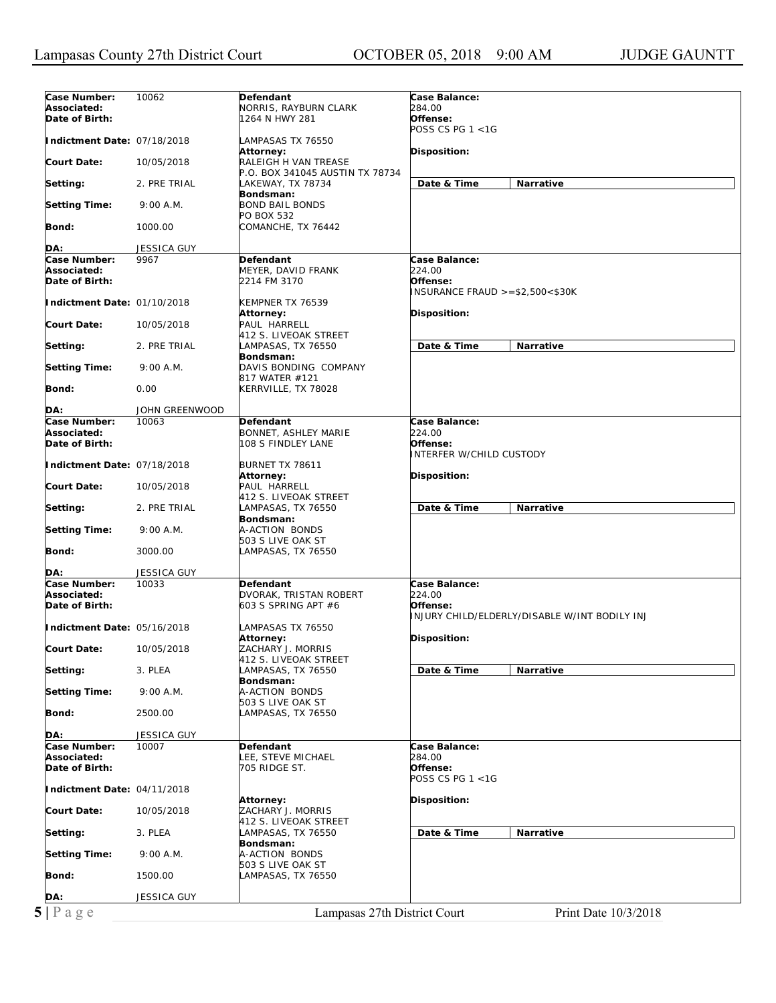| Case Number:                                                        | 10062              | Defendant                       | <b>Case Balance:</b>                          |
|---------------------------------------------------------------------|--------------------|---------------------------------|-----------------------------------------------|
| Associated:                                                         |                    | NORRIS, RAYBURN CLARK           | 284.00                                        |
| Date of Birth:                                                      |                    | 1264 N HWY 281                  | Offense:                                      |
|                                                                     |                    |                                 | POSS CS PG $1 < 1G$                           |
| Indictment Date: 07/18/2018                                         |                    | LAMPASAS TX 76550               |                                               |
|                                                                     |                    | Attorney:                       | Disposition:                                  |
| <b>Court Date:</b>                                                  | 10/05/2018         | RALEIGH H VAN TREASE            |                                               |
|                                                                     |                    | P.O. BOX 341045 AUSTIN TX 78734 |                                               |
| Setting:                                                            | 2. PRE TRIAL       | LAKEWAY, TX 78734               | Date & Time<br>Narrative                      |
|                                                                     |                    | Bondsman:                       |                                               |
| <b>Setting Time:</b>                                                | 9:00 A.M.          | <b>BOND BAIL BONDS</b>          |                                               |
|                                                                     |                    | PO BOX 532                      |                                               |
| Bond:                                                               | 1000.00            | COMANCHE, TX 76442              |                                               |
|                                                                     |                    |                                 |                                               |
| DA:                                                                 | <b>JESSICA GUY</b> |                                 |                                               |
| Case Number:                                                        | 9967               | Defendant                       | Case Balance:                                 |
| Associated:                                                         |                    | MEYER, DAVID FRANK              | 224.00                                        |
| Date of Birth:                                                      |                    | 2214 FM 3170                    | Offense:                                      |
|                                                                     |                    |                                 | INSURANCE FRAUD $>= $2,500< $30K$             |
| Indictment Date: 01/10/2018                                         |                    | KEMPNER TX 76539                |                                               |
|                                                                     |                    | Attorney:                       | Disposition:                                  |
| <b>Court Date:</b>                                                  | 10/05/2018         | PAUL HARRELL                    |                                               |
|                                                                     |                    | 412 S. LIVEOAK STREET           |                                               |
| Setting:                                                            | 2. PRE TRIAL       | LAMPASAS, TX 76550              | Date & Time<br>Narrative                      |
|                                                                     |                    | Bondsman:                       |                                               |
| <b>Setting Time:</b>                                                | 9:00 A.M.          | DAVIS BONDING COMPANY           |                                               |
|                                                                     |                    | 817 WATER #121                  |                                               |
| Bond:                                                               | 0.00               | KERRVILLE, TX 78028             |                                               |
|                                                                     |                    |                                 |                                               |
| DA:                                                                 | JOHN GREENWOOD     |                                 |                                               |
| Case Number:                                                        | 10063              | Defendant                       | Case Balance:                                 |
| Associated:                                                         |                    | BONNET, ASHLEY MARIE            | 224.00                                        |
| Date of Birth:                                                      |                    | 108 S FINDLEY LANE              | Offense:                                      |
|                                                                     |                    |                                 | <b>INTERFER W/CHILD CUSTODY</b>               |
| Indictment Date: 07/18/2018                                         |                    | BURNET TX 78611                 |                                               |
|                                                                     |                    | Attorney:                       | Disposition:                                  |
| <b>Court Date:</b>                                                  | 10/05/2018         | PAUL HARRELL                    |                                               |
|                                                                     |                    | 412 S. LIVEOAK STREET           |                                               |
| Setting:                                                            | 2. PRE TRIAL       | LAMPASAS, TX 76550              | Date & Time<br>Narrative                      |
|                                                                     |                    | Bondsman:                       |                                               |
| <b>Setting Time:</b>                                                | 9:00 A.M.          | A-ACTION BONDS                  |                                               |
|                                                                     |                    | 503 S LIVE OAK ST               |                                               |
| Bond:                                                               | 3000.00            | LAMPASAS, TX 76550              |                                               |
|                                                                     |                    |                                 |                                               |
| DA:                                                                 | JESSICA GUY        |                                 |                                               |
| Case Number:                                                        | 10033              | Defendant                       | Case Balance:                                 |
| Associated:                                                         |                    | DVORAK, TRISTAN ROBERT          | 224.00                                        |
| Date of Birth:                                                      |                    | 603 S SPRING APT #6             | Offense:                                      |
|                                                                     |                    |                                 | INJURY CHILD/ELDERLY/DISABLE W/INT BODILY INJ |
| Indictment Date: 05/16/2018                                         |                    | LAMPASAS TX 76550               |                                               |
|                                                                     |                    | Attorney:                       | Disposition:                                  |
| <b>Court Date:</b>                                                  | 10/05/2018         | ZACHARY J. MORRIS               |                                               |
|                                                                     |                    | 412 S. LIVEOAK STREET           |                                               |
| Setting:                                                            | 3. PLEA            | AMPASAS, TX 76550               | Date & Time<br>Narrative                      |
|                                                                     |                    | Bondsman:                       |                                               |
| <b>Setting Time:</b>                                                | 9:00 A.M.          | A-ACTION BONDS                  |                                               |
|                                                                     |                    | 503 S LIVE OAK ST               |                                               |
| Bond:                                                               | 2500.00            | LAMPASAS, TX 76550              |                                               |
|                                                                     |                    |                                 |                                               |
|                                                                     |                    |                                 |                                               |
|                                                                     | JESSICA GUY        |                                 |                                               |
| Case Number:                                                        | 10007              | Defendant                       | Case Balance:                                 |
|                                                                     |                    | <b>.EE, STEVE MICHAEL</b>       | 284.00                                        |
|                                                                     |                    | 705 RIDGE ST.                   | Offense:                                      |
|                                                                     |                    |                                 | POSS CS PG $1 < 1G$                           |
| DA:<br>Associated:<br>Date of Birth:<br>Indictment Date: 04/11/2018 |                    |                                 |                                               |
|                                                                     |                    | <b>Attorney:</b>                | Disposition:                                  |
|                                                                     | 10/05/2018         | ZACHARY J. MORRIS               |                                               |
|                                                                     |                    | 412 S. LIVEOAK STREET           |                                               |
|                                                                     | 3. PLEA            | LAMPASAS, TX 76550              | Date & Time<br>Narrative                      |
|                                                                     |                    | Bondsman:                       |                                               |
| <b>Court Date:</b><br>Setting:<br><b>Setting Time:</b>              | 9:00 A.M.          | A-ACTION BONDS                  |                                               |
|                                                                     |                    | 503 S LIVE OAK ST               |                                               |
|                                                                     | 1500.00            | LAMPASAS, TX 76550              |                                               |
| Bond:                                                               |                    |                                 |                                               |
| DA:<br>5 Page                                                       | JESSICA GUY        | Lampasas 27th District Court    |                                               |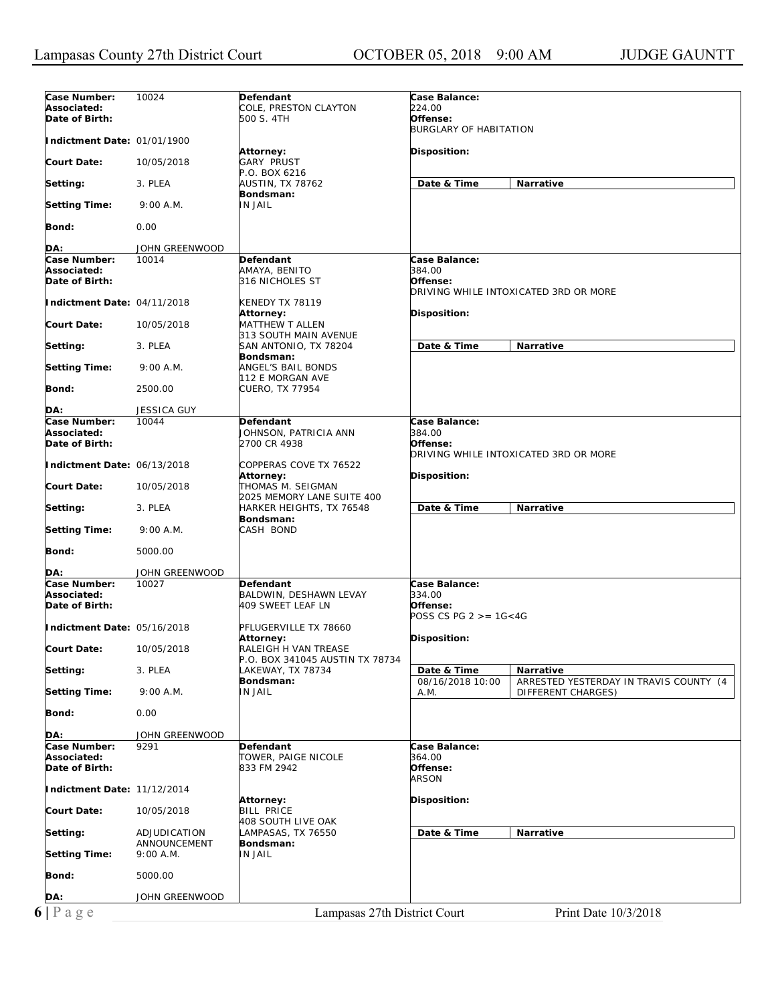| Case Number:<br>Associated:<br>Date of Birth: | 10024                                     | Defendant<br>COLE, PRESTON CLAYTON<br>500 S. 4TH         | Case Balance:<br>224.00<br>Offense:                                                      |  |
|-----------------------------------------------|-------------------------------------------|----------------------------------------------------------|------------------------------------------------------------------------------------------|--|
| Indictment Date: 01/01/1900                   |                                           |                                                          | <b>BURGLARY OF HABITATION</b>                                                            |  |
| Court Date:                                   | 10/05/2018                                | Attorney:<br><b>GARY PRUST</b>                           | Disposition:                                                                             |  |
| Setting:                                      | 3. PLEA                                   | P.O. BOX 6216<br><b>AUSTIN, TX 78762</b>                 | Date & Time<br>Narrative                                                                 |  |
| <b>Setting Time:</b>                          | 9:00 A.M.                                 | Bondsman:<br><b>IN JAIL</b>                              |                                                                                          |  |
| Bond:                                         | 0.00                                      |                                                          |                                                                                          |  |
| DA:                                           | JOHN GREENWOOD                            |                                                          |                                                                                          |  |
| Case Number:                                  | 10014                                     | Defendant                                                | Case Balance:                                                                            |  |
| Associated:<br>Date of Birth:                 |                                           | AMAYA, BENITO<br>316 NICHOLES ST                         | 384.00<br>Offense:                                                                       |  |
| Indictment Date: 04/11/2018                   |                                           | KENEDY TX 78119<br>Attorney:                             | DRIVING WHILE INTOXICATED 3RD OR MORE<br><b>Disposition:</b>                             |  |
| <b>Court Date:</b>                            | 10/05/2018                                | <b>MATTHEW T ALLEN</b><br>313 SOUTH MAIN AVENUE          |                                                                                          |  |
| Setting:                                      | 3. PLEA                                   | SAN ANTONIO, TX 78204<br>Bondsman:                       | Date & Time<br><b>Narrative</b>                                                          |  |
| <b>Setting Time:</b>                          | 9:00 A.M.                                 | <b>ANGEL'S BAIL BONDS</b><br>112 E MORGAN AVE            |                                                                                          |  |
| Bond:                                         | 2500.00                                   | <b>CUERO, TX 77954</b>                                   |                                                                                          |  |
| DA:                                           | <b>JESSICA GUY</b>                        |                                                          |                                                                                          |  |
| Case Number:<br>Associated:<br>Date of Birth: | 10044                                     | Defendant<br>JOHNSON, PATRICIA ANN<br>2700 CR 4938       | Case Balance:<br>384.00<br>Offense:                                                      |  |
| Indictment Date: 06/13/2018                   |                                           | COPPERAS COVE TX 76522                                   | DRIVING WHILE INTOXICATED 3RD OR MORE                                                    |  |
| <b>Court Date:</b>                            | 10/05/2018                                | <b>Attorney:</b><br>THOMAS M. SEIGMAN                    | Disposition:                                                                             |  |
| Setting:                                      | 3. PLEA                                   | 2025 MEMORY LANE SUITE 400<br>HARKER HEIGHTS, TX 76548   | Date & Time<br>Narrative                                                                 |  |
| <b>Setting Time:</b>                          | 9:00 A.M.                                 | Bondsman:<br>CASH BOND                                   |                                                                                          |  |
| Bond:                                         | 5000.00                                   |                                                          |                                                                                          |  |
| DA:                                           | JOHN GREENWOOD                            |                                                          |                                                                                          |  |
| Case Number:<br>Associated:<br>Date of Birth: | 10027                                     | Defendant<br>BALDWIN, DESHAWN LEVAY<br>409 SWEET LEAF LN | Case Balance:<br>334.00<br>Offense:<br>POSS CS PG $2 > = 16 < 4G$                        |  |
| Indictment Date: 05/16/2018                   |                                           | PFLUGERVILLE TX 78660<br>Attorney:                       | Disposition:                                                                             |  |
| <b>Court Date:</b>                            | 10/05/2018                                | RALEIGH H VAN TREASE<br>P.O. BOX 341045 AUSTIN TX 78734  |                                                                                          |  |
| Setting:                                      | 3. PLEA                                   | LAKEWAY, TX 78734                                        | Narrative<br>Date & Time                                                                 |  |
| <b>Setting Time:</b>                          | 9:00 A.M.                                 | Bondsman:<br><b>IN JAIL</b>                              | 08/16/2018 10:00<br>ARRESTED YESTERDAY IN TRAVIS COUNTY (4<br>DIFFERENT CHARGES)<br>A.M. |  |
| Bond:                                         | 0.00                                      |                                                          |                                                                                          |  |
| DA:                                           | JOHN GREENWOOD                            |                                                          |                                                                                          |  |
| Case Number:<br>Associated:<br>Date of Birth: | 9291                                      | Defendant<br>TOWER, PAIGE NICOLE<br>833 FM 2942          | Case Balance:<br>364.00<br>Offense:<br><b>ARSON</b>                                      |  |
| Indictment Date: 11/12/2014                   |                                           | <b>Attorney:</b>                                         | <b>Disposition:</b>                                                                      |  |
| <b>Court Date:</b>                            | 10/05/2018                                | <b>BILL PRICE</b><br>408 SOUTH LIVE OAK                  |                                                                                          |  |
| Setting:<br><b>Setting Time:</b>              | ADJUDICATION<br>ANNOUNCEMENT<br>9:00 A.M. | LAMPASAS, TX 76550<br>Bondsman:<br><b>IN JAIL</b>        | Date & Time<br>Narrative                                                                 |  |
| Bond:                                         | 5000.00                                   |                                                          |                                                                                          |  |
| DA:                                           | JOHN GREENWOOD                            |                                                          |                                                                                          |  |
|                                               |                                           |                                                          |                                                                                          |  |
| $6 P \text{ a } g e$                          |                                           | Lampasas 27th District Court                             | Print Date 10/3/2018                                                                     |  |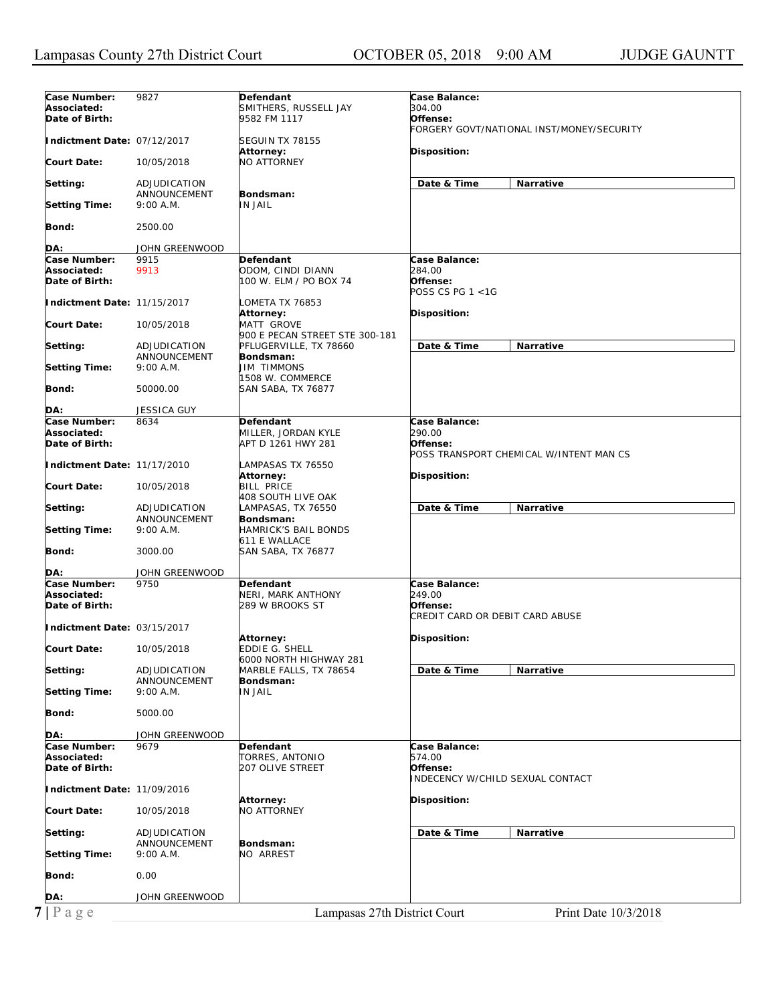| Case Number:<br>Associated:                                  | 9827                                      | Defendant<br>SMITHERS, RUSSELL JAY                           | Case Balance:<br>304.00                                                |  |
|--------------------------------------------------------------|-------------------------------------------|--------------------------------------------------------------|------------------------------------------------------------------------|--|
| Date of Birth:                                               |                                           | 9582 FM 1117                                                 | Offense:<br>FORGERY GOVT/NATIONAL INST/MONEY/SECURITY                  |  |
| Indictment Date: 07/12/2017                                  |                                           | SEGUIN TX 78155                                              |                                                                        |  |
| Court Date:                                                  | 10/05/2018                                | Attorney:<br><b>NO ATTORNEY</b>                              | Disposition:                                                           |  |
| Setting:                                                     | ADJUDICATION<br>ANNOUNCEMENT              | Bondsman:                                                    | Date & Time<br>Narrative                                               |  |
| <b>Setting Time:</b>                                         | 9:00 A.M.                                 | <b>IN JAIL</b>                                               |                                                                        |  |
| Bond:                                                        | 2500.00                                   |                                                              |                                                                        |  |
| DA:                                                          | JOHN GREENWOOD                            |                                                              |                                                                        |  |
| Case Number:                                                 | 9915                                      | Defendant                                                    | Case Balance:                                                          |  |
| Associated:<br>Date of Birth:                                | 9913                                      | ODOM, CINDI DIANN<br>100 W. ELM / PO BOX 74                  | 284.00<br>Offense:<br><i>POSS CS PG 1 &lt;1G</i>                       |  |
| Indictment Date: 11/15/2017                                  |                                           | LOMETA TX 76853<br><b>Attorney:</b>                          | <b>Disposition:</b>                                                    |  |
| Court Date:                                                  | 10/05/2018                                | MATT GROVE<br>900 E PECAN STREET STE 300-181                 |                                                                        |  |
| Setting:                                                     | ADJUDICATION<br>ANNOUNCEMENT              | PFLUGERVILLE, TX 78660<br>Bondsman:                          | Date & Time<br>Narrative                                               |  |
| <b>Setting Time:</b>                                         | 9:00 A.M.                                 | <b>JIM TIMMONS</b><br>1508 W. COMMERCE                       |                                                                        |  |
| Bond:                                                        | 50000.00                                  | <b>SAN SABA, TX 76877</b>                                    |                                                                        |  |
| DA:                                                          | <b>JESSICA GUY</b>                        |                                                              |                                                                        |  |
| Case Number:<br>Associated:<br>Date of Birth:                | 8634                                      | Defendant<br>MILLER, JORDAN KYLE<br>APT D 1261 HWY 281       | Case Balance:<br>290.00<br>Offense:                                    |  |
| Indictment Date: 11/17/2010                                  |                                           | LAMPASAS TX 76550<br>Attorney:                               | POSS TRANSPORT CHEMICAL W/INTENT MAN CS<br>Disposition:                |  |
| Court Date:                                                  | 10/05/2018                                | <b>BILL PRICE</b><br>408 SOUTH LIVE OAK                      |                                                                        |  |
| Setting:                                                     | ADJUDICATION<br>ANNOUNCEMENT              | LAMPASAS, TX 76550<br>Bondsman:                              | Date & Time<br>Narrative                                               |  |
| <b>Setting Time:</b>                                         | 9:00 A.M.                                 | HAMRICK'S BAIL BONDS<br>611 E WALLACE                        |                                                                        |  |
| Bond:                                                        | 3000.00                                   | SAN SABA, TX 76877                                           |                                                                        |  |
| DA:                                                          | JOHN GREENWOOD                            |                                                              |                                                                        |  |
| Case Number:<br>Associated:<br>Date of Birth:                | 9750                                      | Defendant<br>NERI, MARK ANTHONY<br>289 W BROOKS ST           | Case Balance:<br>249.00<br>Offense:<br>CREDIT CARD OR DEBIT CARD ABUSE |  |
| Indictment Date: 03/15/2017                                  |                                           |                                                              |                                                                        |  |
| <b>Court Date:</b>                                           | 10/05/2018                                | Attorney:<br><b>EDDIE G. SHELL</b><br>6000 NORTH HIGHWAY 281 | Disposition:                                                           |  |
| Setting:                                                     | ADJUDICATION<br>ANNOUNCEMENT              | MARBLE FALLS, TX 78654<br>Bondsman:                          | Date & Time<br>Narrative                                               |  |
| <b>Setting Time:</b>                                         |                                           |                                                              |                                                                        |  |
|                                                              | 9:00 A.M.                                 | <b>IN JAIL</b>                                               |                                                                        |  |
|                                                              | 5000.00                                   |                                                              |                                                                        |  |
| Bond:<br>DA:                                                 | JOHN GREENWOOD                            |                                                              |                                                                        |  |
| Case Number:                                                 | 9679                                      | Defendant                                                    | Case Balance:                                                          |  |
|                                                              |                                           | TORRES, ANTONIO<br>207 OLIVE STREET                          | 574.00<br>Offense:<br>INDECENCY W/CHILD SEXUAL CONTACT                 |  |
| Associated:<br>Date of Birth:<br>Indictment Date: 11/09/2016 |                                           | Attorney:                                                    | Disposition:                                                           |  |
|                                                              | 10/05/2018                                | NO ATTORNEY                                                  |                                                                        |  |
| <b>Court Date:</b><br>Setting:                               | ADJUDICATION<br>ANNOUNCEMENT<br>9:00 A.M. | Bondsman:<br>NO ARREST                                       | Date & Time<br>Narrative                                               |  |
|                                                              | 0.00                                      |                                                              |                                                                        |  |
| <b>Setting Time:</b><br>Bond:<br>DA:                         | JOHN GREENWOOD                            |                                                              |                                                                        |  |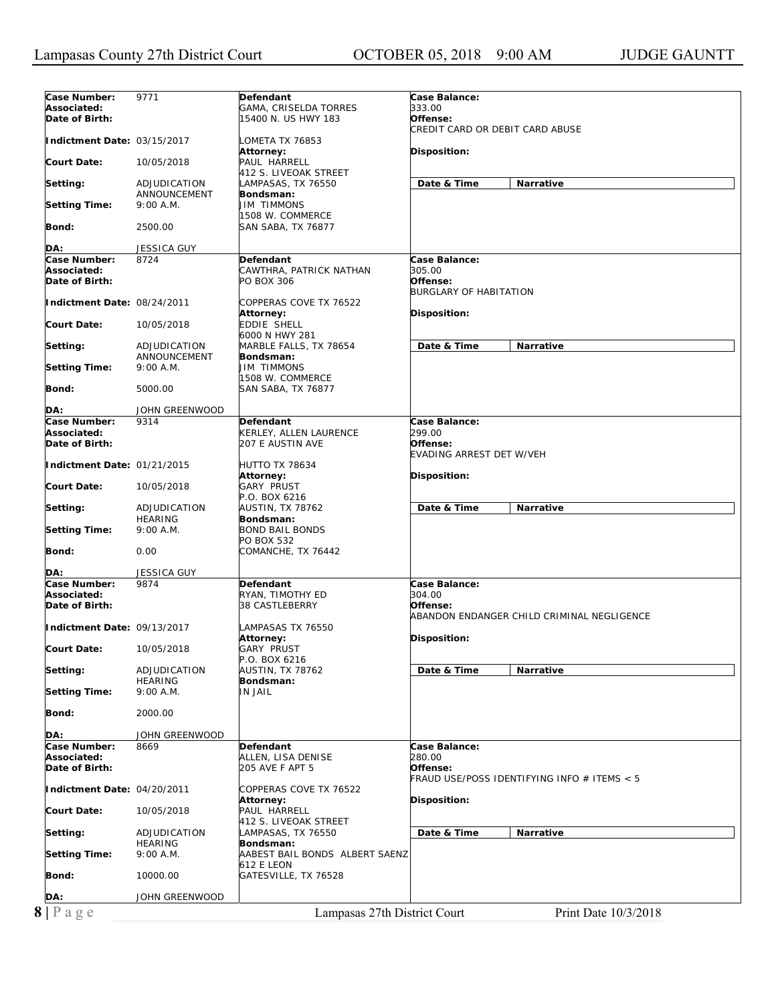| Case Number:                  | 9771                      | Defendant                             | Case Balance:                               |
|-------------------------------|---------------------------|---------------------------------------|---------------------------------------------|
| Associated:                   |                           | GAMA, CRISELDA TORRES                 | 333.00                                      |
| Date of Birth:                |                           | 15400 N. US HWY 183                   | Offense:                                    |
|                               |                           |                                       | CREDIT CARD OR DEBIT CARD ABUSE             |
| Indictment Date: 03/15/2017   |                           | LOMETA TX 76853                       |                                             |
|                               |                           | Attorney:                             | Disposition:                                |
| <b>Court Date:</b>            | 10/05/2018                | PAUL HARRELL                          |                                             |
|                               |                           | 412 S. LIVEOAK STREET                 |                                             |
| Setting:                      | ADJUDICATION              | LAMPASAS, TX 76550                    | Date & Time<br>Narrative                    |
|                               | ANNOUNCEMENT<br>9:00 A.M. | Bondsman:<br><b>JIM TIMMONS</b>       |                                             |
| <b>Setting Time:</b>          |                           | 1508 W. COMMERCE                      |                                             |
| Bond:                         | 2500.00                   | SAN SABA, TX 76877                    |                                             |
|                               |                           |                                       |                                             |
| DA:                           | <b>JESSICA GUY</b>        |                                       |                                             |
| Case Number:                  | 8724                      | Defendant                             | Case Balance:                               |
| Associated:                   |                           | CAWTHRA, PATRICK NATHAN               | 305.00                                      |
| Date of Birth:                |                           | PO BOX 306                            | Offense:                                    |
|                               |                           |                                       | <b>BURGLARY OF HABITATION</b>               |
| Indictment Date: 08/24/2011   |                           | COPPERAS COVE TX 76522                |                                             |
|                               |                           | Attorney:                             | Disposition:                                |
| <b>Court Date:</b>            | 10/05/2018                | <b>EDDIE SHELL</b>                    |                                             |
|                               |                           | 6000 N HWY 281                        |                                             |
| Setting:                      | ADJUDICATION              | MARBLE FALLS, TX 78654                | Date & Time<br><b>Narrative</b>             |
|                               | ANNOUNCEMENT              | Bondsman:                             |                                             |
| <b>Setting Time:</b>          | 9:00 A.M.                 | <b>JIM TIMMONS</b>                    |                                             |
|                               |                           | 1508 W. COMMERCE                      |                                             |
| Bond:                         | 5000.00                   | SAN SABA, TX 76877                    |                                             |
| DA:                           | JOHN GREENWOOD            |                                       |                                             |
| Case Number:                  | 9314                      | Defendant                             | Case Balance:                               |
| Associated:                   |                           | KERLEY, ALLEN LAURENCE                | 299.00                                      |
| Date of Birth:                |                           | 207 E AUSTIN AVE                      | Offense:                                    |
|                               |                           |                                       | <b>EVADING ARREST DET W/VEH</b>             |
| Indictment Date: 01/21/2015   |                           | HUTTO TX 78634                        |                                             |
|                               |                           | <b>Attorney:</b>                      | Disposition:                                |
| <b>Court Date:</b>            | 10/05/2018                | <b>GARY PRUST</b>                     |                                             |
|                               |                           | P.O. BOX 6216                         |                                             |
| Setting:                      | ADJUDICATION              | AUSTIN, TX 78762                      | Date & Time<br>Narrative                    |
|                               | <b>HEARING</b>            | Bondsman:                             |                                             |
| <b>Setting Time:</b>          | 9:00 A.M.                 | <b>BOND BAIL BONDS</b>                |                                             |
|                               |                           | PO BOX 532                            |                                             |
| Bond:                         | 0.00                      | COMANCHE, TX 76442                    |                                             |
| DA:                           | JESSICA GUY               |                                       |                                             |
| Case Number:                  | 9874                      | Defendant                             | Case Balance:                               |
| Associated:                   |                           | RYAN, TIMOTHY ED                      | 304.00                                      |
| Date of Birth:                |                           | 38 CASTLEBERRY                        | Offense:                                    |
|                               |                           |                                       | ABANDON ENDANGER CHILD CRIMINAL NEGLIGENCE  |
| Indictment Date: 09/13/2017   |                           | LAMPASAS TX 76550                     |                                             |
|                               |                           | Attorney:                             | Disposition:                                |
| <b>Court Date:</b>            | 10/05/2018                | <b>GARY PRUST</b>                     |                                             |
|                               |                           | P.O. BOX 6216                         |                                             |
| Setting:                      | ADJUDICATION              | AUSTIN, TX 78762                      | Date & Time<br>Narrative                    |
|                               | <b>HEARING</b>            | Bondsman:                             |                                             |
| <b>Setting Time:</b>          | 9:00 A.M.                 | <b>IN JAIL</b>                        |                                             |
|                               |                           |                                       |                                             |
| Bond:                         | 2000.00                   |                                       |                                             |
|                               |                           |                                       |                                             |
| DA:                           | JOHN GREENWOOD            |                                       |                                             |
| Case Number:                  | 8669                      | <b>Defendant</b>                      | <b>Case Balance:</b>                        |
| Associated:<br>Date of Birth: |                           | ALLEN, LISA DENISE<br>205 AVE F APT 5 | 280.00<br>Offense:                          |
|                               |                           |                                       | FRAUD USE/POSS IDENTIFYING INFO # ITEMS < 5 |
| Indictment Date: 04/20/2011   |                           | COPPERAS COVE TX 76522                |                                             |
|                               |                           | <b>Attorney:</b>                      | Disposition:                                |
| <b>Court Date:</b>            | 10/05/2018                | PAUL HARRELL                          |                                             |
|                               |                           | 412 S. LIVEOAK STREET                 |                                             |
| Setting:                      | ADJUDICATION              | LAMPASAS, TX 76550                    | Date & Time<br>Narrative                    |
|                               | <b>HEARING</b>            | Bondsman:                             |                                             |
| <b>Setting Time:</b>          | 9:00 A.M.                 | AABEST BAIL BONDS ALBERT SAENZ        |                                             |
|                               |                           | 612 E LEON                            |                                             |
| Bond:                         | 10000.00                  | GATESVILLE, TX 76528                  |                                             |
|                               |                           |                                       |                                             |
| DA:                           | JOHN GREENWOOD            |                                       |                                             |
| $8$   P a g e                 |                           | Lampasas 27th District Court          | Print Date 10/3/2018                        |
|                               |                           |                                       |                                             |